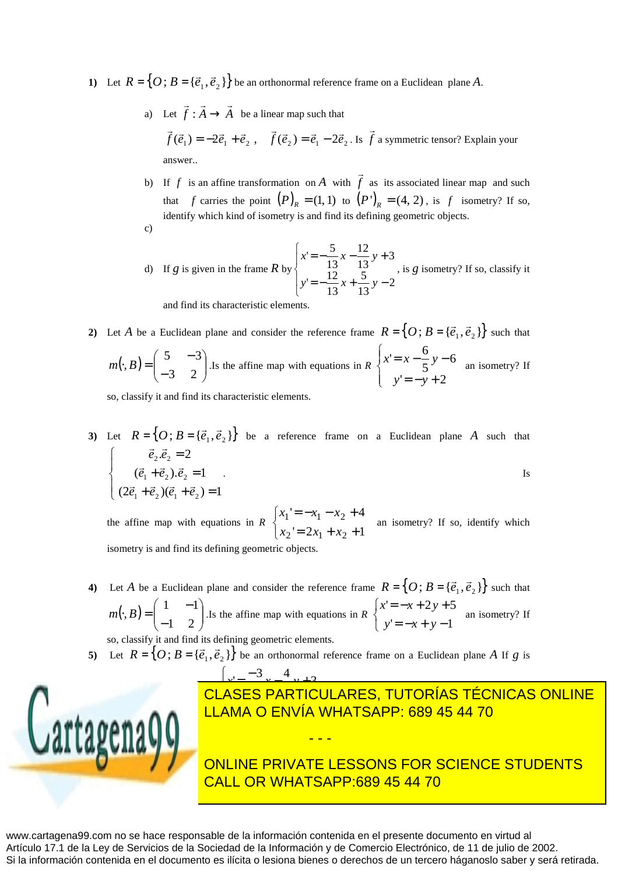1) Let  $R = \{O; B = {\vec{e}_1, \vec{e}_2} \}$  $\overline{r}$  $=\{O; B = \{\vec{e}_1, \vec{e}_2\}\}\$ be an orthonormal reference frame on a Euclidean plane *A*.

> a) Let  $f : A \to A$  $\overrightarrow{r}$  r  $\overrightarrow{r}$ :  $A \rightarrow A$  be a linear map such that

 $f(\vec{e}_1) = -2\vec{e}_1 + \vec{e}_2$ ,  $f(\vec{e}_2) = \vec{e}_1 - 2\vec{e}_2$  $\vec{r}$  $=-2\vec{e}_1 + \vec{e}_2$ ,  $f(\vec{e}_2) = \vec{e}_1 - 2\vec{e}_2$ . Is f  $\rightarrow$ a symmetric tensor? Explain your answer..

- b) If *f* is an affine transformation on *A* with *f*  $\rightarrow$  as its associated linear map and such that *f* carries the point  $(P)_R = (1,1)$  to  $(P')_R = (4,2)$ , is *f* isometry? If so, identify which kind of isometry is and find its defining geometric objects. c)
- d) If *g* is given in the frame *R* by  $\overline{a}$  $\overline{\mathfrak{l}}$  $\overline{\phantom{a}}$ ∤  $\int$  $=-\frac{12}{12}x + \frac{5}{12}y =-\frac{y}{10}x-\frac{12}{10}y+$ 2 13 5 13  $= -\frac{12}{1}$ 3 13 12 13  $= -\frac{5}{7}$  $y' = -\frac{12}{12}x + \frac{3}{12}y$  $x' = -\frac{y}{4.2}x - \frac{12}{1.2}y$ , is *g* isometry? If so, classify it and find its characteristic elemen

2) Let *A* be a Euclidean plane and consider the reference frame  $R = \{O; B = \{\vec{e}_1, \vec{e}_2\}\}\$  $\overline{r}$  $=\{O; B = {\{\vec{e}_1, \vec{e}_2\}}\}$  such that  $\left( \cdot ,B\right) = \left| \begin{array}{cc} 3 & -3 \\ 2 & 2 \end{array} \right|$ J  $\backslash$  $\overline{\phantom{a}}$ l ſ − −  $\cdot$ , B) = 3 2  $5 - 3$  $m(\cdot, B) =$  .  $\begin{bmatrix} 1 & 0 \\ 0 & 1 \end{bmatrix}$ . Is the affine map with equations in *R*  $\overline{\mathcal{L}}$  $\overline{1}$ ∤  $\sqrt{ }$  $=-y +$  $= x - \frac{6}{7}y$  $y = -y + 2$ 6 5  $y = x - \frac{6}{x}$ *y y*  $x = x - \frac{6}{5}y - 6$  an isometry? If

so, classify it and find its characteristic elements.

**3**) Let  $R = \{O; B = \{\vec{e}_1, \vec{e}_2\}\}\$  $\overline{a}$  $=\{O; B = \{\vec{e}_1, \vec{e}_2\}\}\$  be a reference frame on a Euclidean plane *A* such that  $\overline{\phantom{a}}$  $(2\vec{e}_1 + \vec{e}_2)(\vec{e}_1 + \vec{e}_2)$  $\overline{ }$ ∤  $\int$  $+\vec{e}_2(\vec{e}_1+\vec{e}_2)=$  $+\vec{e}_2).\vec{e}_2 =$ =  $(2\vec{e}_1 + \vec{e}_2)(\vec{e}_1 + \vec{e}_2) = 1$  $(\vec{e}_1 + \vec{e}_2).\vec{e}_2 = 1$  $\vec{e}_2 = 2$  $1 + \epsilon_2$  ).  $\epsilon_2$  $2^{\cdot c}2$  $\vec{e}_1 + \vec{e}_2$ )( $\vec{e}_1 + \vec{e}$  $\vec{e}_1 + \vec{e}_2$ ). $\vec{e}$  $\vec{e}_2 \cdot \vec{e}$  $\begin{array}{ccc} \n\sqrt{2} & \text{if } 2 \rightarrow 2 \\
\hline\n\end{array}$  $r_2 \rightarrow r_2$ r r . Is

the affine map with equations in *R*  $\overline{\mathcal{L}}$ ∤  $\int$  $= 2x_1 + x_2 +$  $=-x_1 - x_2 +$  $y = 2x_1 + x_2 + 1$  $y = -x_1 - x_2 + 4$  $2 = 2\lambda_1 + \lambda_2$  $x_1 = -x_1 - x_2$  $x_2' = 2x_1 + x$  $x_1' = -x_1 - x$  an isometry? If so, identify which isometry is and find its defining geometric objects.

- **4**) Let *A* be a Euclidean plane and consider the reference frame  $R = \{O; B = \{\vec{e}_1, \vec{e}_2\}\}\$  $\overline{a}$  $=\{O; B = {\{\vec{e}_1, \vec{e}_2\}}\}$  such that  $\left(\cdot, B\right) = \left[\begin{array}{cc} 1 & -1 \\ 1 & 2 \end{array}\right]$ J  $\backslash$  $\overline{\phantom{a}}$ l ſ − −  $\cdot$ , B) = 1 2  $1 - 1$  $m(\cdot, B) =$  .Is the affine map with equations in *R*  $\overline{\mathcal{L}}$ ∤  $\int$  $=-x + y =-x + 2y +$  $y = -x + y - 1$  $y = -x + 2y + 5$ *y x y*  $x' = -x + 2y$  an isometry? If so, classify it and find its defining geometric elements.
- **5)** Let  $R = \{O; B = \{\vec{e}_1, \vec{e}_2\}\}\$  be an orthonormal reference frame on a Euclidean plane *A* If *g* is

- - -



## $\overline{\mathbf{A}}$ <mark>AMA O ENVÍA</mark> ᅼ J  $\int$ <u>− <sup>- 5</sup> x - 1 v + 2</u> − 5  $\frac{1}{2}$  $\overline{\phantom{0}}$ 4 ' *y x y* LLAMA O ENVÍA WHATSAPP: 689 45 44 70 5 5 *x x y* 4 3 '<u>CLASES PARTICULARES, TUTORÍAS TÉCNICAS ONLINE</u>

ONLINE PRIVATE LESSONS FOR SCIENCE STUDENTS CALL OR WHATSAPP:689 45 44 70

www.cartagena99.com no se hace responsable de la información contenida en el presente documento en virtud al Artículo 17.1 de la Ley de Servicios de la Sociedad de la Información y de Comercio Electrónico, de 11 de julio de 2002. Si la información contenida en el documento es ilícita o lesiona bienes o derechos de un tercero háganoslo saber y será retirada.